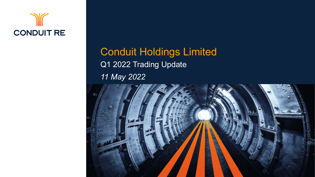

### Conduit Holdings Limited Q1 2022 Trading Update *11 May 2022*

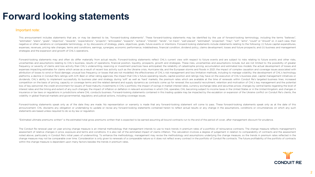#### **Forward looking statements**

#### Important note:

This announcement includes statements that are, or may be deemed to be. "forward-looking statements". These forward-looking statements may be identified by the use of forward-looking terminology, including the terms "belie "estimates", "plans", "goals", "objective", "rewards", "expectations", "projects", "anticipates", "expects", "anticipates", "anticipates", "anticipates", "anticipates", "anticipates", "anticipates", "anticipates", "anticip negative or other variations or comparable terminology, or by discussions of strategy, plans, objectives, goals, future events or intentions. Forward-looking statements include statements relating to the following: (i) fut expenses, revenues, pricing rate changes, terms and conditions, earnings, synergies, economic performance, indebtedness, financial condition, dividend policy, claims development, losses and future prospects; and (ii) busin strategies and the expansion and growth of CHL's operations.

Forward-looking statements may and often do differ materially from actual results. Forward-looking statements reflect CHL's current view with respect to future events and are subject to risks relating to future events and uncertainties and assumptions relating to CHL's business, results of operations, financial position, liquidity, prospects, growth and strategies. These risks, uncertainties and assumptions include, but are not limited to: frequency or severity of claims and loss activity than CHL's underwriting, reserving or investment practices have anticipated; the reliability of catastrophe pricing, accumulation and estimated loss models; the actual deve expenses impacting estimates for claims which arose as a result of recent loss activity such as the Ukraine crisis. Hurricane Ida, and the European storms and floods in 2021; the impact of complex causation and coverage is attribution of losses to wind or flood damage; unusual loss frequency or losses that are not modelled; the effectiveness of CHL's risk management and loss limitation methods, including to manage volatility; the development platforms; a decline in Conduit Re's ratings with A.M. Best or other rating agencies; the impact that CHL's future operating results, capital position and ratings may have on the execution of CHL's business plan, capital m dividends; CHL's ability to implement successfully its business plan and strategy during 'soft' as well as 'hard' markets; the premium rates which are available at the time of renewals within Conduit Re's targeted business competition on the basis of pricing, capacity or coverage terms and the related demand and supply dynamics as contracts come up for renewal; the successful recruitment, retention and motivation of CHL's key management and loss of key personnel; the credit environment for issuers of fixed maturity investments in CHL's portfolio; the impact of swings in market interest rates, currency exchange rates and securities prices; changes by central b interest rates and the timing and extent of any such changes; the impact of inflation or deflation in relevant economies in which CHL operates; CHL becoming subject to income taxes in the United States or in the United Kin insurance or tax laws or regulations in jurisdictions where CHL conducts business. Forward-looking statements contained in this trading update may be impacted by the escalation or expansion of the Ukraine conflict on Condu volatility in global financial markets and governmental, regulatory and judicial actions, including coverage issues.

Forward-looking statements speak only as of the date they are made. No representation or warranty is made that any forward-looking statement will come to pass. These forward-looking statements speak only as at the date of announcement. CHL disclaims any obligation or undertaking to update or revise any forward-looking statements contained herein to reflect actual results or any change in the assumptions, conditions or circumstances on which statements are based unless required to do so by law or regulation.

"Estimated ultimate premiums written" is the estimated total gross premiums written that is expected to be earned assuming all bound contracts run to the end of the period of cover, after management discount for prudence.

The Conduit Re renewal year on year pricing change measure is an internal methodology that management intends to use to track trends in premium rates of a portfolio of reinsurance contracts. The change measure reflects man assessment of relative changes in price, exposure and terms and conditions. It is also net of the estimated impact of claims inflation. The calculation involves a degree of judgement in relation to comparability of contrac noted above, particularly in Conduit Re's initial years of underwriting. To enhance the methodology, management may revise the methodology and assumptions underlying the change measure, so the trends in premium rates refle change measure may not be comparable over time. Consideration is only given to renewals of a comparable nature so it does not reflect every contract in the portfolio of Conduit Re contracts. The future profitability of the within the change measure is dependent upon many factors besides the trends in premium rates.

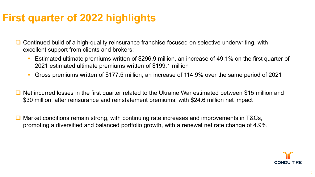### **First quarter of 2022 highlights**

- $\Box$  Continued build of a high-quality reinsurance franchise focused on selective underwriting, with excellent support from clients and brokers:
	- Estimated ultimate premiums written of \$296.9 million, an increase of 49.1% on the first quarter of 2021 estimated ultimate premiums written of \$199.1 million
	- Gross premiums written of \$177.5 million, an increase of 114.9% over the same period of 2021
- Net incurred losses in the first quarter related to the Ukraine War estimated between \$15 million and \$30 million, after reinsurance and reinstatement premiums, with \$24.6 million net impact
- **□** Market conditions remain strong, with continuing rate increases and improvements in T&Cs, promoting a diversified and balanced portfolio growth, with a renewal net rate change of 4.9%

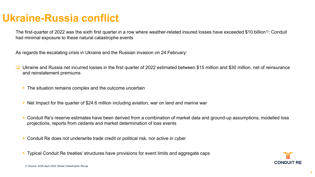#### **Ukraine-Russia conflict**

The first-quarter of 2022 was the sixth first quarter in a row where weather-related insured losses have exceeded \$10 billion*1)*; Conduit had minimal exposure to these natural catastrophe events

As regards the escalating crisis in Ukraine and the Russian invasion on 24 February:

- Ukraine and Russia net incurred losses in the first quarter of 2022 estimated between \$15 million and \$30 million, net of reinsurance and reinstatement premiums
	- The situation remains complex and the outcome uncertain
	- Net Impact for the quarter of \$24.6 million including aviation, war on land and marine war
	- Conduit Re's reserve estimates have been derived from a combination of market data and ground-up assumptions, modelled loss projections, reports from cedants and market determination of loss events
	- Conduit Re does not underwrite trade credit or political risk, nor active in cyber
	- Typical Conduit Re treaties' structures have provisions for event limits and aggregate caps

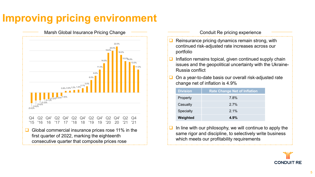# **Improving pricing environment**



#### Conduit Re pricing experience

- Reinsurance pricing dynamics remain strong, with continued risk-adjusted rate increases across our portfolio
- Inflation remains topical, given continued supply chain issues and the geopolitical uncertainty with the Ukraine-Russia conflict
- On a year-to-date basis our overall risk-adjusted rate change net of inflation is 4.9%

| <b>Division</b>  | <b>Rate Change Net of Inflation</b> |
|------------------|-------------------------------------|
| Property         | 7.8%                                |
| Casualty         | 27%                                 |
| <b>Specialty</b> | $2.1\%$                             |
| Weighted         | 4.9%                                |

 In line with our philosophy, we will continue to apply the same rigor and discipline, to selectively write business which meets our profitability requirements

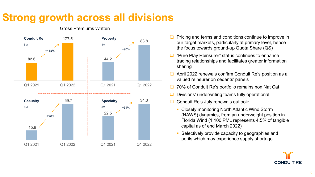# **Strong growth across all divisions**



- Pricing and terms and conditions continue to improve in our target markets, particularly at primary level, hence the focus towards ground-up Quota Share (QS)
- "Pure Play Reinsurer" status continues to enhance trading relationships and facilitates greater information sharing
- April 2022 renewals confirm Conduit Re's position as a valued reinsurer on cedants' panels
- 70% of Conduit Re's portfolio remains non Nat Cat
- Divisions' underwriting teams fully operational
- Conduit Re's July renewals outlook:
	- **Closely monitoring North Atlantic Wind Storm** (NAWS) dynamics, from an underweight position in Florida Wind (1:100 PML represents 4.5% of tangible capital as of end March 2022)
	- Selectively provide capacity to geographies and perils which may experience supply shortage

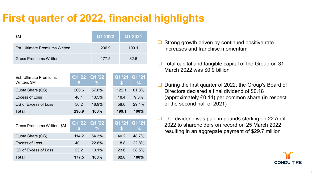## **First quarter of 2022, financial highlights**

| \$M                            | Q1 2022 | Q1 2021 |
|--------------------------------|---------|---------|
| Est. Ultimate Premiums Written | 296.9   | 1991    |
| <b>Gross Premiums Written</b>  | 177.5   | 82.6    |

| <b>Est. Ultimate Premiums</b><br>Written, \$M | Q1 '22 | Q1 '22<br>$\frac{0}{2}$             | Q1 '21<br>SБ | Q1 '21<br>$\%$          |
|-----------------------------------------------|--------|-------------------------------------|--------------|-------------------------|
| Quota Share (QS)                              | 200.6  | 67.6%                               | 122.1        | 61.3%                   |
| <b>Excess of Loss</b>                         | 40.1   | 13.5%                               | 18.4         | 9.3%                    |
| QS of Excess of Loss                          | 56.2   | 18.9%                               | 58.6         | 29.4%                   |
| Total                                         | 296.9  | 100%                                | 199.1        | 100%                    |
|                                               |        |                                     |              |                         |
| Gross Premiums Written, \$M                   | Q1 '22 | $\overline{Q1}'22$<br>$\frac{0}{0}$ | Q1 '21       | Q1 '21<br>$\frac{0}{2}$ |
| Quota Share (QS)                              | 114.2  | 64.3%                               | 40.2         | 48.7%                   |
| <b>Excess of Loss</b>                         | 40.1   | 22.6%                               | 18.8         | 22.8%                   |
| QS of Excess of Loss                          | 23.2   | 13.1%                               | 23.6         | 28.5%                   |

- $\Box$  Strong growth driven by continued positive rate increases and franchise momentum
- $\Box$  Total capital and tangible capital of the Group on 31 March 2022 was \$0.9 billion
- During the first quarter of 2022, the Group's Board of Directors declared a final dividend of \$0.18 (approximately £0.14) per common share (in respect of the second half of 2021)
- $\Box$  The dividend was paid in pounds sterling on 22 April 2022 to shareholders on record on 25 March 2022, resulting in an aggregate payment of \$29.7 million

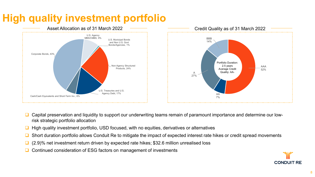## **High quality investment portfolio**



- Capital preservation and liquidity to support our underwriting teams remain of paramount importance and determine our lowrisk strategic portfolio allocation
- $\Box$  High quality investment portfolio, USD focused, with no equities, derivatives or alternatives
- **□** Short duration portfolio allows Conduit Re to mitigate the impact of expected interest rate hikes or credit spread movements
- $\Box$  (2.9)% net investment return driven by expected rate hikes; \$32.6 million unrealised loss
- **□** Continued consideration of ESG factors on management of investments

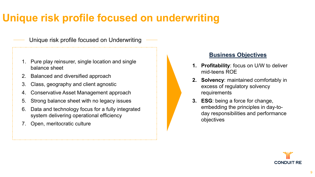## **Unique risk profile focused on underwriting**

#### Unique risk profile focused on Underwriting

- 1. Pure play reinsurer, single location and single balance sheet
- 2. Balanced and diversified approach
- 3. Class, geography and client agnostic
- 4. Conservative Asset Management approach
- 5. Strong balance sheet with no legacy issues
- 6. Data and technology focus for a fully integrated system delivering operational efficiency
- 7. Open, meritocratic culture

#### **Business Objectives**

- **1. Profitability**: focus on U/W to deliver mid-teens ROE
- **2. Solvency**: maintained comfortably in excess of regulatory solvency requirements
- **3. ESG**: being a force for change, embedding the principles in day-today responsibilities and performance objectives

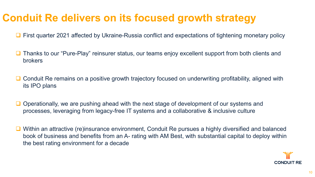### **Conduit Re delivers on its focused growth strategy**

■ First quarter 2021 affected by Ukraine-Russia conflict and expectations of tightening monetary policy

- Thanks to our "Pure-Play" reinsurer status, our teams enjoy excellent support from both clients and brokers
- Conduit Re remains on a positive growth trajectory focused on underwriting profitability, aligned with its IPO plans
- Operationally, we are pushing ahead with the next stage of development of our systems and processes, leveraging from legacy-free IT systems and a collaborative & inclusive culture
- Within an attractive (re)insurance environment, Conduit Re pursues a highly diversified and balanced book of business and benefits from an A- rating with AM Best, with substantial capital to deploy within the best rating environment for a decade

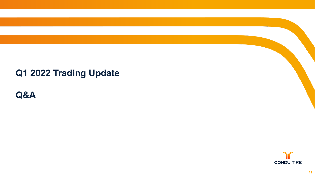#### **Q1 2022 Trading Update**

**Q&A**